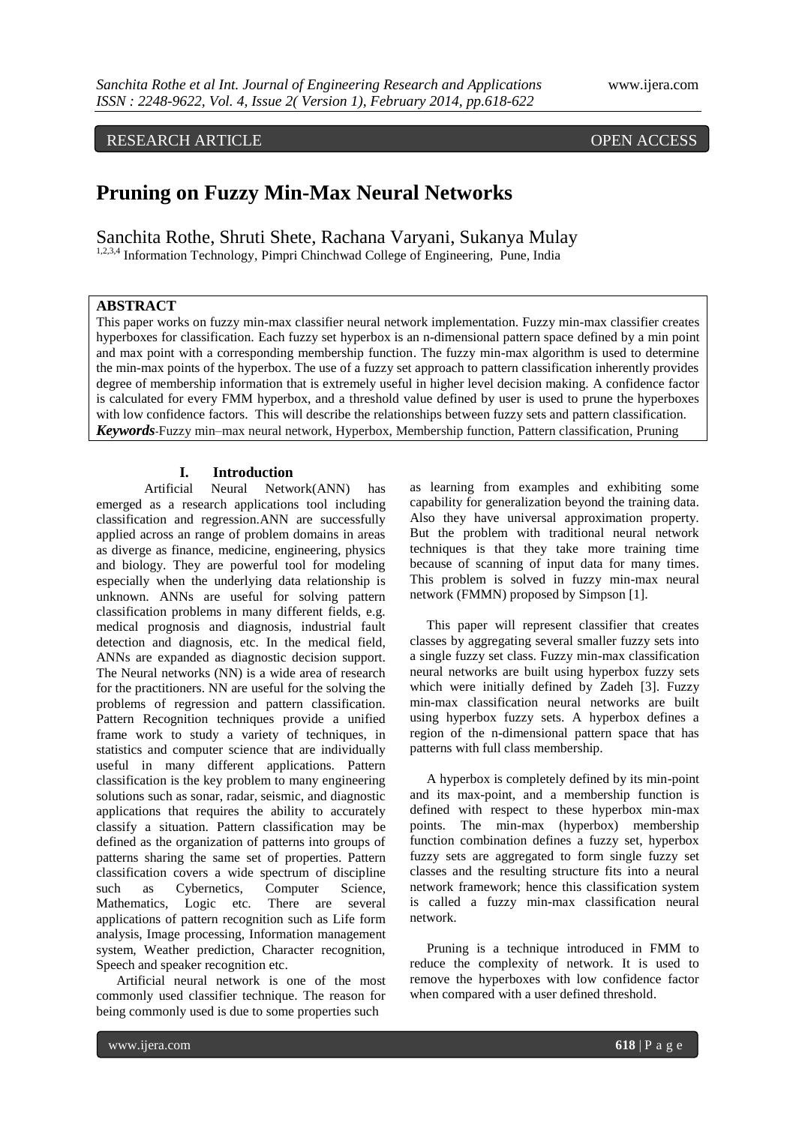# RESEARCH ARTICLE OPEN ACCESS

# **Pruning on Fuzzy Min-Max Neural Networks**

Sanchita Rothe, Shruti Shete, Rachana Varyani, Sukanya Mulay

1,2,3,4 Information Technology, Pimpri Chinchwad College of Engineering, Pune, India

## **ABSTRACT**

This paper works on fuzzy min-max classifier neural network implementation. Fuzzy min-max classifier creates hyperboxes for classification. Each fuzzy set hyperbox is an n-dimensional pattern space defined by a min point and max point with a corresponding membership function. The fuzzy min-max algorithm is used to determine the min-max points of the hyperbox. The use of a fuzzy set approach to pattern classification inherently provides degree of membership information that is extremely useful in higher level decision making. A confidence factor is calculated for every FMM hyperbox, and a threshold value defined by user is used to prune the hyperboxes with low confidence factors. This will describe the relationships between fuzzy sets and pattern classification. *Keywords*-Fuzzy min–max neural network, Hyperbox, Membership function, Pattern classification, Pruning

#### **I. Introduction**

Artificial Neural Network(ANN) has emerged as a research applications tool including classification and regression.ANN are successfully applied across an range of problem domains in areas as diverge as finance, medicine, engineering, physics and biology. They are powerful tool for modeling especially when the underlying data relationship is unknown. ANNs are useful for solving pattern classification problems in many different fields, e.g. medical prognosis and diagnosis, industrial fault detection and diagnosis, etc. In the medical field, ANNs are expanded as diagnostic decision support. The Neural networks (NN) is a wide area of research for the practitioners. NN are useful for the solving the problems of regression and pattern classification. Pattern Recognition techniques provide a unified frame work to study a variety of techniques, in statistics and computer science that are individually useful in many different applications. Pattern classification is the key problem to many engineering solutions such as sonar, radar, seismic, and diagnostic applications that requires the ability to accurately classify a situation. Pattern classification may be defined as the organization of patterns into groups of patterns sharing the same set of properties. Pattern classification covers a wide spectrum of discipline such as Cybernetics, Computer Science, Mathematics, Logic etc. There are several applications of pattern recognition such as Life form analysis, Image processing, Information management system, Weather prediction, Character recognition, Speech and speaker recognition etc.

 Artificial neural network is one of the most commonly used classifier technique. The reason for being commonly used is due to some properties such

as learning from examples and exhibiting some capability for generalization beyond the training data. Also they have universal approximation property. But the problem with traditional neural network techniques is that they take more training time because of scanning of input data for many times. This problem is solved in fuzzy min-max neural network (FMMN) proposed by Simpson [1].

 This paper will represent classifier that creates classes by aggregating several smaller fuzzy sets into a single fuzzy set class. Fuzzy min-max classification neural networks are built using hyperbox fuzzy sets which were initially defined by Zadeh [3]. Fuzzy min-max classification neural networks are built using hyperbox fuzzy sets. A hyperbox defines a region of the n-dimensional pattern space that has patterns with full class membership.

 A hyperbox is completely defined by its min-point and its max-point, and a membership function is defined with respect to these hyperbox min-max points. The min-max (hyperbox) membership function combination defines a fuzzy set, hyperbox fuzzy sets are aggregated to form single fuzzy set classes and the resulting structure fits into a neural network framework; hence this classification system is called a fuzzy min-max classification neural network.

 Pruning is a technique introduced in FMM to reduce the complexity of network. It is used to remove the hyperboxes with low confidence factor when compared with a user defined threshold.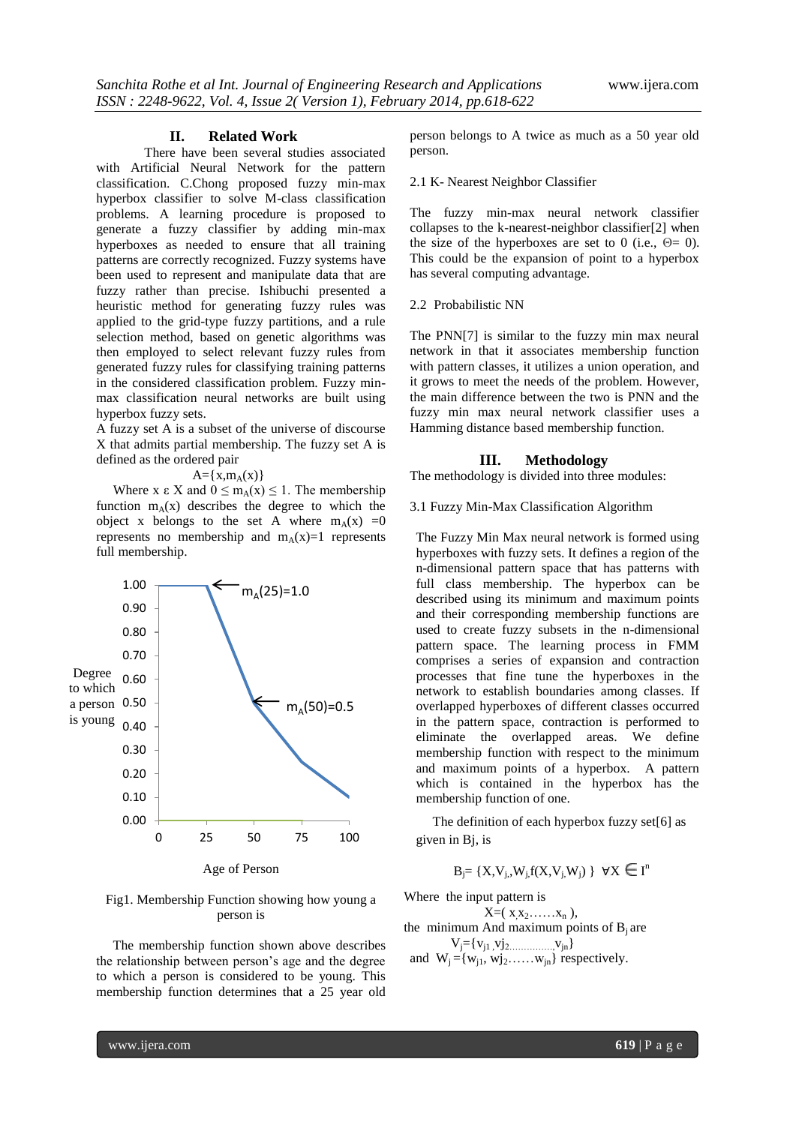#### **II. Related Work**

There have been several studies associated with Artificial Neural Network for the pattern classification. C.Chong proposed fuzzy min-max hyperbox classifier to solve M-class classification problems. A learning procedure is proposed to generate a fuzzy classifier by adding min-max hyperboxes as needed to ensure that all training patterns are correctly recognized. Fuzzy systems have been used to represent and manipulate data that are fuzzy rather than precise. Ishibuchi presented a heuristic method for generating fuzzy rules was applied to the grid-type fuzzy partitions, and a rule selection method, based on genetic algorithms was then employed to select relevant fuzzy rules from generated fuzzy rules for classifying training patterns in the considered classification problem. Fuzzy minmax classification neural networks are built using hyperbox fuzzy sets.

A fuzzy set A is a subset of the universe of discourse X that admits partial membership. The fuzzy set A is defined as the ordered pair

 $A = \{x, m_A(x)\}\$ 

Where x  $\epsilon$  X and  $0 \le m_A(x) \le 1$ . The membership function  $m_{\lambda}(x)$  describes the degree to which the object x belongs to the set A where  $m_A(x) = 0$ represents no membership and  $m_A(x)=1$  represents full membership.



Fig1. Membership Function showing how young a person is

 The membership function shown above describes the relationship between person"s age and the degree to which a person is considered to be young. This membership function determines that a 25 year old person belongs to A twice as much as a 50 year old person.

#### 2.1 K- Nearest Neighbor Classifier

The fuzzy min-max neural network classifier collapses to the k-nearest-neighbor classifier[2] when the size of the hyperboxes are set to 0 (i.e.,  $\Theta = 0$ ). This could be the expansion of point to a hyperbox has several computing advantage.

#### 2.2 Probabilistic NN

The PNN[7] is similar to the fuzzy min max neural network in that it associates membership function with pattern classes, it utilizes a union operation, and it grows to meet the needs of the problem. However, the main difference between the two is PNN and the fuzzy min max neural network classifier uses a Hamming distance based membership function.

#### **III. Methodology**

The methodology is divided into three modules:

3.1 Fuzzy Min-Max Classification Algorithm

The Fuzzy Min Max neural network is formed using hyperboxes with fuzzy sets. It defines a region of the n-dimensional pattern space that has patterns with full class membership. The hyperbox can be described using its minimum and maximum points and their corresponding membership functions are used to create fuzzy subsets in the n-dimensional pattern space. The learning process in FMM comprises a series of expansion and contraction processes that fine tune the hyperboxes in the network to establish boundaries among classes. If overlapped hyperboxes of different classes occurred in the pattern space, contraction is performed to eliminate the overlapped areas. We define membership function with respect to the minimum and maximum points of a hyperbox. A pattern which is contained in the hyperbox has the membership function of one.

 The definition of each hyperbox fuzzy set[6] as given in Bj, is

 $B_j = \{X, V_{j,}, W_{j,}f(X, V_{j,}W_j) \mid \forall X \in I^n\}$ 

Where the input pattern is

 $X=( x_1 x_2 \ldots x_n ),$ the minimum And maximum points of  $B_i$  are  $V_i = \{v_{i1}, v_{i2}, \dots, v_{jn}\}$ 

and  $W_i = \{w_{i1}, w_{i2}, \dots, w_{in}\}$  respectively.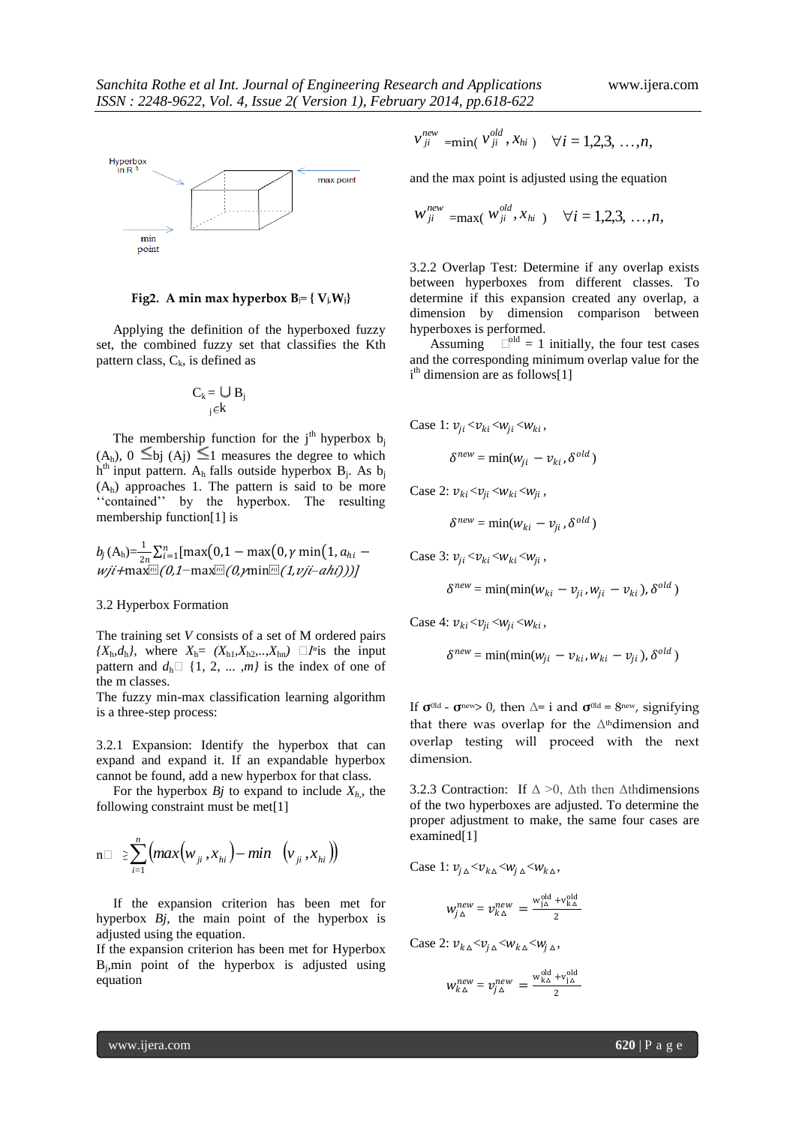

**Fig2.** A min max hyperbox  $B_i = \{V_i, W_i\}$ 

 Applying the definition of the hyperboxed fuzzy set, the combined fuzzy set that classifies the Kth pattern class,  $C_k$ , is defined as

$$
C_k = \bigcup_{j \in k} B_j
$$

The membership function for the  $j<sup>th</sup>$  hyperbox  $b<sub>i</sub>$  $(A_h)$ ,  $0 \leq bj$   $(A_i) \leq 1$  measures the degree to which  $h<sup>th</sup>$  input pattern. A<sub>h</sub> falls outside hyperbox B<sub>j</sub>. As b<sub>j</sub>  $(A<sub>h</sub>)$  approaches 1. The pattern is said to be more "contained" by the hyperbox. The resulting membership function[1] is

$$
b_j(A_h) = \frac{1}{2n} \sum_{i=1}^n [\max(0, 1 - \max(0, \gamma \min(1, a_{hi} - \omega j i + \max[0, 1 - \max[0, 0, \gamma \min[0, 1, \omega j - \alpha h i)]))]
$$

#### 3.2 Hyperbox Formation

The training set *V* consists of a set of M ordered pairs  ${X_h, d_h}$ , where  $X_h = (X_{h1}, X_{h2}, \ldots, X_{hn}) \square F$  *is the input* pattern and  $d_h \Box \{1, 2, ..., m\}$  is the index of one of the m classes.

The fuzzy min-max classification learning algorithm is a three-step process:

3.2.1 Expansion: Identify the hyperbox that can expand and expand it. If an expandable hyperbox cannot be found, add a new hyperbox for that class.

For the hyperbox  $B_j$  to expand to include  $X_h$ , the following constraint must be met[1]

$$
n \Box \geq \sum_{i=1}^{n} \left( max(w_{ji}, x_{hi}) - min\left(v_{ji}, x_{hi}\right)\right)
$$

 If the expansion criterion has been met for hyperbox *Bj,* the main point of the hyperbox is adjusted using the equation.

If the expansion criterion has been met for Hyperbox Bj ,min point of the hyperbox is adjusted using equation

$$
v_{ji}^{new} = min(v_{ji}^{old}, x_{hi}) \quad \forall i = 1, 2, 3, ..., n,
$$

and the max point is adjusted using the equation

$$
W_{ji}^{new} = \max(W_{ji}^{old}, x_{hi}) \quad \forall i = 1, 2, 3, ..., n,
$$

3.2.2 Overlap Test: Determine if any overlap exists between hyperboxes from different classes. To determine if this expansion created any overlap, a dimension by dimension comparison between hyperboxes is performed.

Assuming  $\Box^{\text{old}} = 1$  initially, the four test cases and the corresponding minimum overlap value for the i<sup>th</sup> dimension are as follows[1]

Case 1:  $v_{ji} < v_{ki} < w_{ji} < w_{ki}$ ,

$$
\delta^{new} = \min(w_{ji} - v_{ki}, \delta^{old})
$$

Case 2:  $v_{ki} < v_{ji} < w_{ki} < w_{ji}$ ,

$$
\delta^{new} = \min(w_{ki} - v_{ji}, \delta^{old})
$$

Case 3:  $v_{ji} < v_{ki} < w_{ki} < w_{ji}$ ,

$$
\delta^{new} = \min(\min(w_{ki} - v_{ji}, w_{ji} - v_{ki}), \delta^{old})
$$

Case 4:  $v_{ki} < v_{ji} < w_{ji} < w_{ki}$ ,

$$
\delta^{new} = \min(\min(w_{ji} - v_{ki}, w_{ki} - v_{ji}), \delta^{old})
$$

If  $\sigma^{old}$  -  $\sigma^{new}$  0, then  $\Delta$ = i and  $\sigma^{old}$  = 8<sup>new</sup>, signifying that there was overlap for the  $\Delta$ <sup>th</sup>dimension and overlap testing will proceed with the next dimension.

3.2.3 Contraction: If  $\Delta > 0$ ,  $\Delta$ th then  $\Delta$ thdimensions of the two hyperboxes are adjusted. To determine the proper adjustment to make, the same four cases are examined[1]

2

Case 1: 
$$
v_{j\Delta} < v_{k\Delta} < w_{j\Delta} < w_{k\Delta}
$$
,  

$$
w_{j\Delta}^{new} = v_{k\Delta}^{new} = \frac{w_{j\Delta}^{old} + v_{k\Delta}^{old}}{2}
$$

Case 2:  $v_{k\Delta} < v_{i\Delta} < w_{k\Delta} < w_{i\Delta}$ ,

$$
w_{k\Delta}^{new} = v_{j\Delta}^{new} = \frac{w_{k\Delta}^{old} + v_{j\Delta}^{old}}{2}
$$

www.ijera.com **620** | P a g e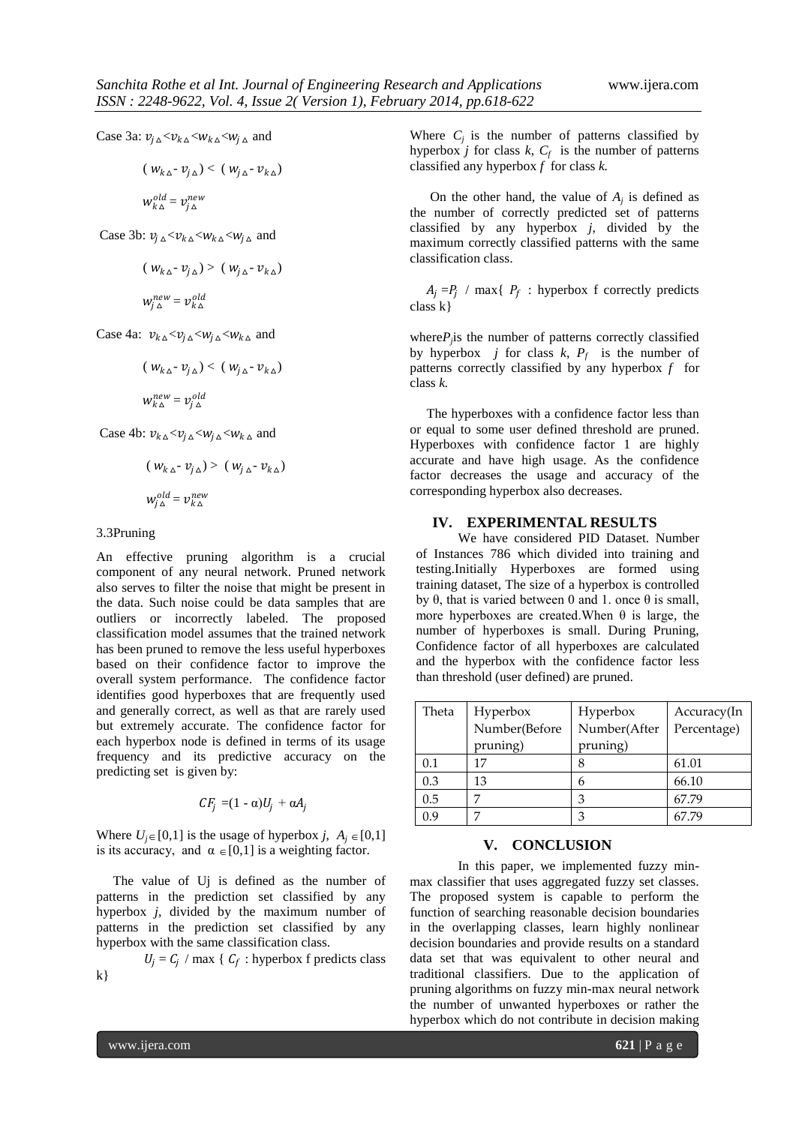Case 3a:  $v_{i\Delta} < v_{k\Delta} < w_{k\Delta} < w_{i\Delta}$  and

$$
(\,W_{k\,\Delta} \cdot \,v_{j\,\Delta}) \lt (\,W_{j\,\Delta} \cdot \,v_{k\,\Delta})
$$

$$
{\color{black} w_{k\,\Delta}^{old}} = {\color{black} \nu_{j\,\Delta}^{new}}
$$

Case 3b:  $v_{j\Delta} < v_{k\Delta} < w_{k\Delta} < w_{j\Delta}$  and

$$
(\,W_{k\,\Delta} - v_{j\,\Delta}) \,>\, (\,W_{j\,\Delta} - v_{k\,\Delta})
$$

$$
w^{new}_{j\,\Delta} = {\mathcal V}^{old}_{k\,\Delta}
$$

Case 4a:  $v_{k\Delta} < v_{j\Delta} < w_{j\Delta} < w_{k\Delta}$  and

$$
(w_{k\Delta} - v_{j\Delta}) < (w_{j\Delta} - v_{k\Delta})
$$
  

$$
w_{k\Delta}^{new} = v_{j\Delta}^{old}
$$

Case 4b:  $v_{k} \sim v_{i} \sim w_{i} \sim w_{k} \sim$  and

$$
(w_{k\Delta} - v_{j\Delta}) > (w_{j\Delta} - v_{k\Delta})
$$

$$
w_{j\Delta}^{old} = v_{k\Delta}^{new}
$$

#### 3.3Pruning

An effective pruning algorithm is a crucial component of any neural network. Pruned network also serves to filter the noise that might be present in the data. Such noise could be data samples that are outliers or incorrectly labeled. The proposed classification model assumes that the trained network has been pruned to remove the less useful hyperboxes based on their confidence factor to improve the overall system performance. The confidence factor identifies good hyperboxes that are frequently used and generally correct, as well as that are rarely used but extremely accurate. The confidence factor for each hyperbox node is defined in terms of its usage frequency and its predictive accuracy on the predicting set is given by:

$$
CF_j = (1 - \alpha)U_j + \alpha A_j
$$

Where  $U_j \in [0,1]$  is the usage of hyperbox *j*,  $A_j \in [0,1]$ is its accuracy, and  $\alpha \in [0,1]$  is a weighting factor.

 The value of Uj is defined as the number of patterns in the prediction set classified by any hyperbox *j*, divided by the maximum number of patterns in the prediction set classified by any hyperbox with the same classification class.

 $U_j = C_j$  / max {  $C_f$  : hyperbox f predicts class k}

Where  $C_j$  is the number of patterns classified by hyperbox *j* for class  $k$ ,  $C_f$  is the number of patterns classified any hyperbox *f* for class *k.*

On the other hand, the value of  $A_j$  is defined as the number of correctly predicted set of patterns classified by any hyperbox *j*, divided by the maximum correctly classified patterns with the same classification class.

 $A_j = P_j$  / max{  $P_f$  : hyperbox f correctly predicts class k}

where $P_j$  is the number of patterns correctly classified by hyperbox *j* for class  $k$ ,  $P_f$  is the number of patterns correctly classified by any hyperbox *f* for class *k.*

The hyperboxes with a confidence factor less than or equal to some user defined threshold are pruned. Hyperboxes with confidence factor 1 are highly accurate and have high usage. As the confidence factor decreases the usage and accuracy of the corresponding hyperbox also decreases.

#### **IV. EXPERIMENTAL RESULTS**

We have considered PID Dataset. Number of Instances 786 which divided into training and testing.Initially Hyperboxes are formed using training dataset, The size of a hyperbox is controlled by θ, that is varied between 0 and 1. once θ is small, more hyperboxes are created. When  $θ$  is large, the number of hyperboxes is small. During Pruning, Confidence factor of all hyperboxes are calculated and the hyperbox with the confidence factor less than threshold (user defined) are pruned.

| Theta | Hyperbox      | Hyperbox     | Accuracy(In |
|-------|---------------|--------------|-------------|
|       | Number(Before | Number(After | Percentage) |
|       | pruning)      | pruning)     |             |
| 0.1   | 17            |              | 61.01       |
| 0.3   | 13            | 6            | 66.10       |
| 0.5   |               | З            | 67.79       |
| 0.9   | .,            | З            | 67.79       |

#### **V. CONCLUSION**

In this paper, we implemented fuzzy minmax classifier that uses aggregated fuzzy set classes. The proposed system is capable to perform the function of searching reasonable decision boundaries in the overlapping classes, learn highly nonlinear decision boundaries and provide results on a standard data set that was equivalent to other neural and traditional classifiers. Due to the application of pruning algorithms on fuzzy min-max neural network the number of unwanted hyperboxes or rather the hyperbox which do not contribute in decision making